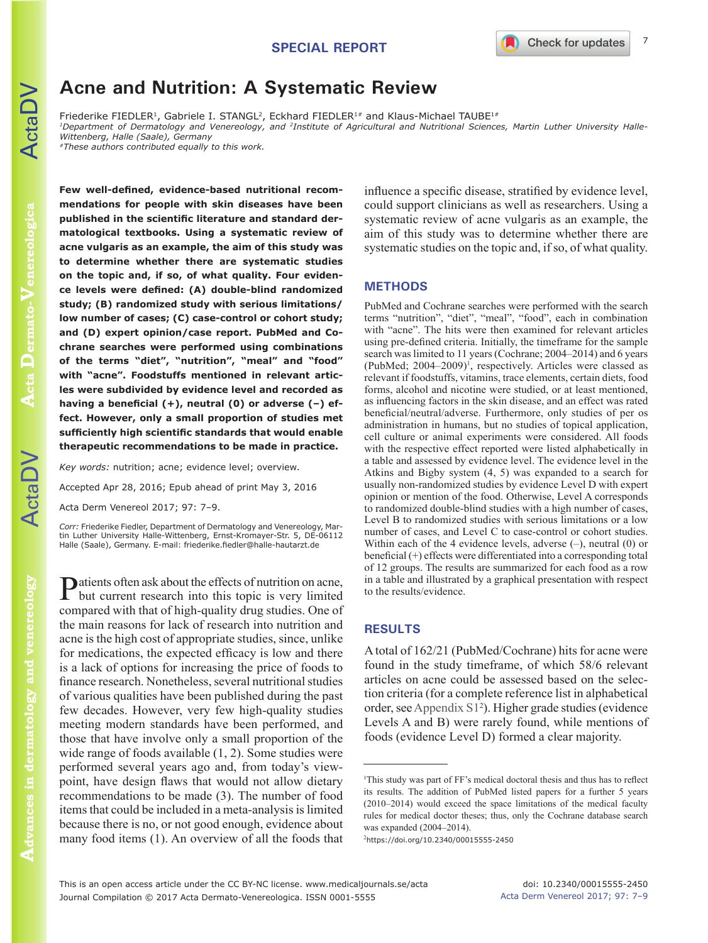# **Acne and Nutrition: A Systematic Review**

Friederike FIEDLER<sup>1</sup>, Gabriele I. STANGL<sup>2</sup>, Eckhard FIEDLER<sup>1#</sup> and Klaus-Michael TAUBE<sup>1#</sup>

*1Department of Dermatology and Venereology, and 2Institute of Agricultural and Nutritional Sciences, Martin Luther University Halle-Wittenberg, Halle (Saale), Germany #These authors contributed equally to this work.*

**Acta Dermato-Venereologica Dermato-Venereologica**

ActaDV

**Few well-defined, evidence-based nutritional recommendations for people with skin diseases have been published in the scientific literature and standard dermatological textbooks. Using a systematic review of acne vulgaris as an example, the aim of this study was to determine whether there are systematic studies on the topic and, if so, of what quality. Four evidence levels were defined: (A) double-blind randomized study; (B) randomized study with serious limitations/ low number of cases; (C) case-control or cohort study; and (D) expert opinion/case report. PubMed and Cochrane searches were performed using combinations of the terms "diet", "nutrition", "meal" and "food" with "acne". Foodstuffs mentioned in relevant articles were subdivided by evidence level and recorded as having a beneficial (+), neutral (0) or adverse (–) effect. However, only a small proportion of studies met sufficiently high scientific standards that would enable therapeutic recommendations to be made in practice.** 

*Key words:* nutrition; acne; evidence level; overview. Accepted Apr 28, 2016; Epub ahead of print May 3, 2016 Acta Derm Venereol 2017; 97: 7–9.

*Corr:* Friederike Fiedler, Department of Dermatology and Venereology, Martin Luther University Halle-Wittenberg, Ernst-Kromayer-Str. 5, DE-06112 Halle (Saale), Germany. E-mail: friederike.fiedler@halle-hautarzt.de

Patients often ask about the effects of nutrition on acne, but current research into this topic is very limited compared with that of high-quality drug studies. One of the main reasons for lack of research into nutrition and acne is the high cost of appropriate studies, since, unlike for medications, the expected efficacy is low and there is a lack of options for increasing the price of foods to finance research. Nonetheless, several nutritional studies of various qualities have been published during the past few decades. However, very few high-quality studies meeting modern standards have been performed, and those that have involve only a small proportion of the wide range of foods available (1, 2). Some studies were performed several years ago and, from today's viewpoint, have design flaws that would not allow dietary recommendations to be made (3). The number of food items that could be included in a meta-analysis is limited because there is no, or not good enough, evidence about many food items (1). An overview of all the foods that

influence a specific disease, stratified by evidence level, could support clinicians as well as researchers. Using a systematic review of acne vulgaris as an example, the aim of this study was to determine whether there are systematic studies on the topic and, if so, of what quality.

### **METHODS**

PubMed and Cochrane searches were performed with the search terms "nutrition", "diet", "meal", "food", each in combination with "acne". The hits were then examined for relevant articles using pre-defined criteria. Initially, the timeframe for the sample search was limited to 11 years (Cochrane; 2004–2014) and 6 years (PubMed;  $2004-2009$ <sup>1</sup>, respectively. Articles were classed as relevant if foodstuffs, vitamins, trace elements, certain diets, food forms, alcohol and nicotine were studied, or at least mentioned, as influencing factors in the skin disease, and an effect was rated beneficial/neutral/adverse. Furthermore, only studies of per os administration in humans, but no studies of topical application, cell culture or animal experiments were considered. All foods with the respective effect reported were listed alphabetically in a table and assessed by evidence level. The evidence level in the Atkins and Bigby system (4, 5) was expanded to a search for usually non-randomized studies by evidence Level D with expert opinion or mention of the food. Otherwise, Level A corresponds to randomized double-blind studies with a high number of cases, Level B to randomized studies with serious limitations or a low number of cases, and Level C to case-control or cohort studies. Within each of the 4 evidence levels, adverse  $(-)$ , neutral  $(0)$  or beneficial (+) effects were differentiated into a corresponding total of 12 groups. The results are summarized for each food as a row in a table and illustrated by a graphical presentation with respect to the results/evidence.

## **RESULTS**

A total of 162/21 (PubMed/Cochrane) hits for acne were found in the study timeframe, of which 58/6 relevant articles on acne could be assessed based on the selection criteria (for a complete reference list in alphabetical order, see [Appendix S12](https://doi.org/10.2340/00015555-2450) ). Higher grade studies (evidence Levels A and B) were rarely found, while mentions of foods (evidence Level D) formed a clear majority.

2 https://doi.org/10.2340/00015555-2450

<sup>1</sup> This study was part of FF's medical doctoral thesis and thus has to reflect its results. The addition of PubMed listed papers for a further 5 years (2010–2014) would exceed the space limitations of the medical faculty rules for medical doctor theses; thus, only the Cochrane database search was expanded (2004–2014).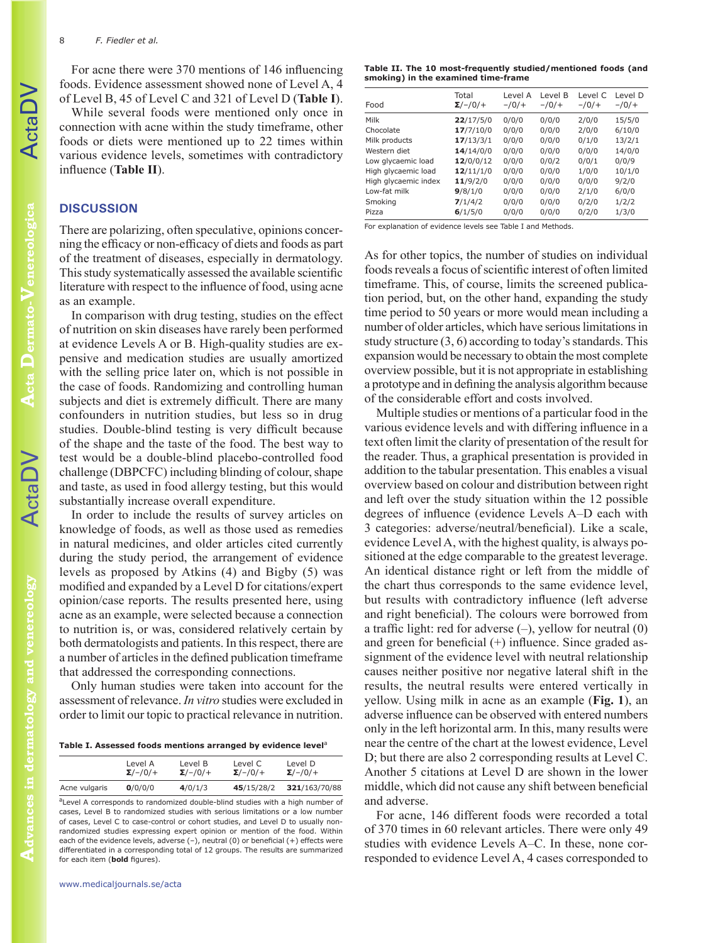For acne there were 370 mentions of 146 influencing foods. Evidence assessment showed none of Level A, 4 of Level B, 45 of Level C and 321 of Level D (**Table I**).

While several foods were mentioned only once in connection with acne within the study timeframe, other foods or diets were mentioned up to 22 times within various evidence levels, sometimes with contradictory influence (**Table II**).

## **DISCUSSION**

There are polarizing, often speculative, opinions concerning the efficacy or non-efficacy of diets and foods as part of the treatment of diseases, especially in dermatology. This study systematically assessed the available scientific literature with respect to the influence of food, using acne as an example.

In comparison with drug testing, studies on the effect of nutrition on skin diseases have rarely been performed at evidence Levels A or B. High-quality studies are expensive and medication studies are usually amortized with the selling price later on, which is not possible in the case of foods. Randomizing and controlling human subjects and diet is extremely difficult. There are many confounders in nutrition studies, but less so in drug studies. Double-blind testing is very difficult because of the shape and the taste of the food. The best way to test would be a double-blind placebo-controlled food challenge (DBPCFC) including blinding of colour, shape and taste, as used in food allergy testing, but this would substantially increase overall expenditure.

In order to include the results of survey articles on knowledge of foods, as well as those used as remedies in natural medicines, and older articles cited currently during the study period, the arrangement of evidence levels as proposed by Atkins (4) and Bigby (5) was modified and expanded by a Level D for citations/expert opinion/case reports. The results presented here, using acne as an example, were selected because a connection to nutrition is, or was, considered relatively certain by both dermatologists and patients. In this respect, there are a number of articles in the defined publication timeframe that addressed the corresponding connections.

Only human studies were taken into account for the assessment of relevance. *In vitro* studies were excluded in order to limit our topic to practical relevance in nutrition.

Table I. Assessed foods mentions arranged by evidence level<sup>a</sup>

|               | Level A         | Level B         | Level C         | Level D         |
|---------------|-----------------|-----------------|-----------------|-----------------|
|               | $\Sigma$ /-/0/+ | $\Sigma$ /-/0/+ | $\Sigma$ /-/0/+ | $\Sigma$ /-/0/+ |
| Acne vulgaris | 0/0/0/0         | 4/0/1/3         | 45/15/28/2      | 321/163/70/88   |

<sup>a</sup>Level A corresponds to randomized double-blind studies with a high number of cases, Level B to randomized studies with serious limitations or a low number of cases, Level C to case-control or cohort studies, and Level D to usually nonrandomized studies expressing expert opinion or mention of the food. Within each of the evidence levels, adverse  $(-)$ , neutral  $(0)$  or beneficial  $(+)$  effects were differentiated in a corresponding total of 12 groups. The results are summarized for each item (**bold** figures).

| Food                 | Total<br>$\Sigma$ /-/0/+ | Level A<br>$-10/$ | Level B<br>$-10/$ | Level C<br>$-10/$ | Level D<br>$-10/$ |
|----------------------|--------------------------|-------------------|-------------------|-------------------|-------------------|
| Milk                 | 22/17/5/0                | 0/0/0             | 0/0/0             | 2/0/0             | 15/5/0            |
| Chocolate            | 17/7/10/0                | 0/0/0             | 0/0/0             | 2/0/0             | 6/10/0            |
| Milk products        | 17/13/3/1                | 0/0/0             | 0/0/0             | 0/1/0             | 13/2/1            |
| Western diet         | 14/14/0/0                | 0/0/0             | 0/0/0             | 0/0/0             | 14/0/0            |
| Low glycaemic load   | 12/0/0/12                | 0/0/0             | 0/0/2             | 0/0/1             | 0/0/9             |
| High glycaemic load  | 12/11/1/0                | 0/0/0             | 0/0/0             | 1/0/0             | 10/1/0            |
| High glycaemic index | 11/9/2/0                 | 0/0/0             | 0/0/0             | 0/0/0             | 9/2/0             |
| Low-fat milk         | 9/8/1/0                  | 0/0/0             | 0/0/0             | 2/1/0             | 6/0/0             |
| Smoking              | 7/1/4/2                  | 0/0/0             | 0/0/0             | 0/2/0             | 1/2/2             |
| Pizza                | 6/1/5/0                  | 0/0/0             | 0/0/0             | 0/2/0             | 1/3/0             |

For explanation of evidence levels see Table I and Methods.

As for other topics, the number of studies on individual foods reveals a focus of scientific interest of often limited timeframe. This, of course, limits the screened publication period, but, on the other hand, expanding the study time period to 50 years or more would mean including a number of older articles, which have serious limitations in study structure (3, 6) according to today's standards. This expansion would be necessary to obtain the most complete overview possible, but it is not appropriate in establishing a prototype and in defining the analysis algorithm because of the considerable effort and costs involved.

Multiple studies or mentions of a particular food in the various evidence levels and with differing influence in a text often limit the clarity of presentation of the result for the reader. Thus, a graphical presentation is provided in addition to the tabular presentation. This enables a visual overview based on colour and distribution between right and left over the study situation within the 12 possible degrees of influence (evidence Levels A–D each with 3 categories: adverse/neutral/beneficial). Like a scale, evidence Level A, with the highest quality, is always positioned at the edge comparable to the greatest leverage. An identical distance right or left from the middle of the chart thus corresponds to the same evidence level, but results with contradictory influence (left adverse and right beneficial). The colours were borrowed from a traffic light: red for adverse  $(-)$ , yellow for neutral  $(0)$ and green for beneficial (+) influence. Since graded assignment of the evidence level with neutral relationship causes neither positive nor negative lateral shift in the results, the neutral results were entered vertically in yellow. Using milk in acne as an example (**Fig. 1**), an adverse influence can be observed with entered numbers only in the left horizontal arm. In this, many results were near the centre of the chart at the lowest evidence, Level D; but there are also 2 corresponding results at Level C. Another 5 citations at Level D are shown in the lower middle, which did not cause any shift between beneficial and adverse.

For acne, 146 different foods were recorded a total of 370 times in 60 relevant articles. There were only 49 studies with evidence Levels A–C. In these, none corresponded to evidence Level A, 4 cases corresponded to